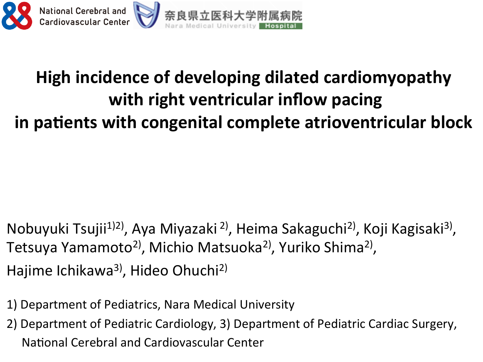

### **High incidence of developing dilated cardiomyopathy with right ventricular inflow pacing in patients with congenital complete atrioventricular block**

- Nobuyuki Tsujii<sup>1)2)</sup>, Aya Miyazaki<sup>2)</sup>, Heima Sakaguchi<sup>2)</sup>, Koji Kagisaki<sup>3)</sup>, Tetsuya Yamamoto<sup>2)</sup>, Michio Matsuoka<sup>2)</sup>, Yuriko Shima<sup>2)</sup>, Hajime Ichikawa<sup>3</sup>, Hideo Ohuchi<sup>2)</sup>
- 1) Department of Pediatrics, Nara Medical University
- 2) Department of Pediatric Cardiology, 3) Department of Pediatric Cardiac Surgery, National Cerebral and Cardiovascular Center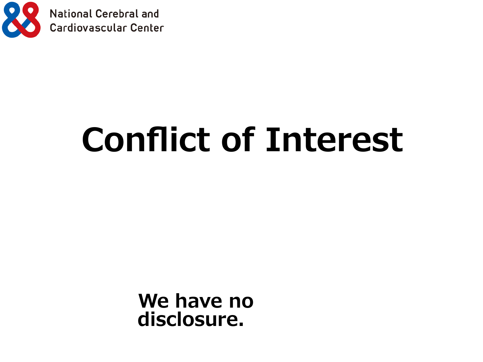

# **Conflict of Interest**

**We have no disclosure.**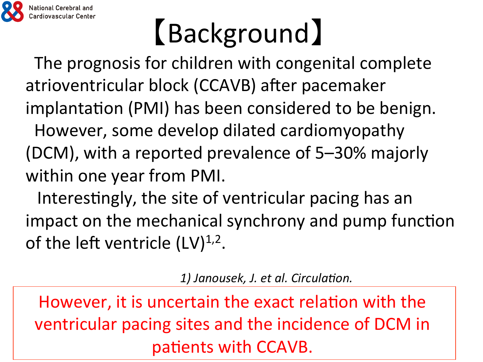

# 【Background】

The prognosis for children with congenital complete atrioventricular block (CCAVB) after pacemaker implantation (PMI) has been considered to be benign.

However, some develop dilated cardiomyopathy (DCM), with a reported prevalence of 5-30% majorly within one year from PMI.

Interestingly, the site of ventricular pacing has an impact on the mechanical synchrony and pump function of the left ventricle  $(LV)^{1,2}$ .

1) Janousek, J. et al. Circulation.

*2013;127:613-623. NICWCVCI, It is direction the exact relation w* ventricular pacing sites and the incidence of DCM in However, it is uncertain the exact relation with the patients with CCAVB.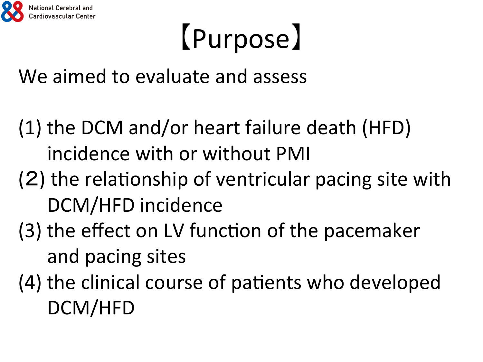

# 【Purpose】

We aimed to evaluate and assess

- (1) the DCM and/or heart failure death (HFD) incidence with or without PMI
- $(2)$  the relationship of ventricular pacing site with DCM/HFD incidence
- (3) the effect on LV function of the pacemaker and pacing sites
- $(4)$  the clinical course of patients who developed DCM/HFD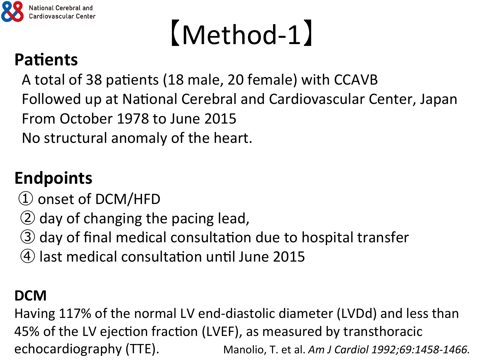

## 【Method-1】

### **Patients**

A total of 38 patients (18 male, 20 female) with CCAVB Followed up at National Cerebral and Cardiovascular Center, Japan From October 1978 to June 2015 No structural anomaly of the heart.

### **Endpoints**

- ① onset of DCM/HFD
- ② day of changing the pacing lead,
- ③ day of final medical consultaMon due to hospital transfer
- $\left(4\right)$  last medical consultation until June 2015

#### **DCM**

Having 117% of the normal LV end-diastolic diameter (LVDd) and less than 45% of the LV ejection fraction (LVEF), as measured by transthoracic echocardiography (TTE). Manolio, T. et al. Am J Cardiol 1992;69:1458-1466.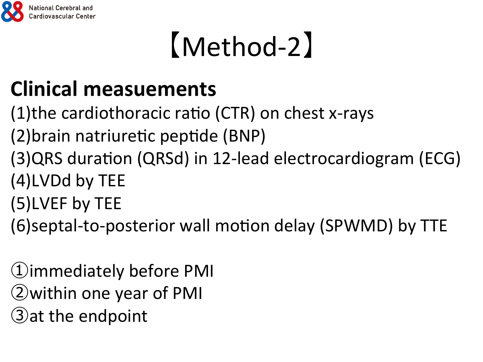

## 【Method-2】

### **Clinical measuements**

- $(1)$ the cardiothoracic ratio (CTR) on chest x-rays
- (2) brain natriuretic peptide (BNP)
- (3) QRS duration (QRSd) in 12-lead electrocardiogram (ECG) (4)LVDd by TEE
- (5)LVEF by TEE
- (6)septal-to-posterior wall motion delay (SPWMD) by TTE

①immediately before PMI ②within one year of PMI ③at the endpoint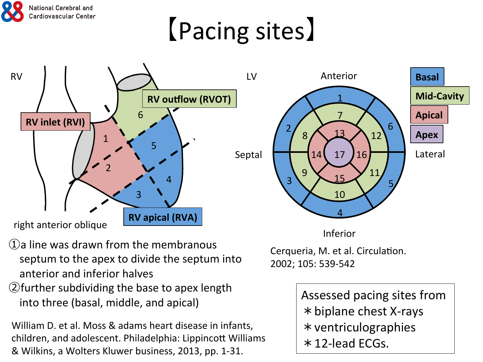

## 【Pacing sites】



- $(1)$ a line was drawn from the membranous septum to the apex to divide the septum into anterior and inferior halves
- (2) further subdividing the base to apex length into three (basal, middle, and apical)

William D. et al. Moss & adams heart disease in infants, children, and adolescent. Philadelphia: Lippincott Williams & Wilkins, a Wolters Kluwer business, 2013, pp. 1-31.

Cerqueria, M. et al. Circulation. 2002; 105: 539-542

> Assessed pacing sites from  $*$  biplane chest X-rays \*ventriculographies  $*$  12-lead ECGs.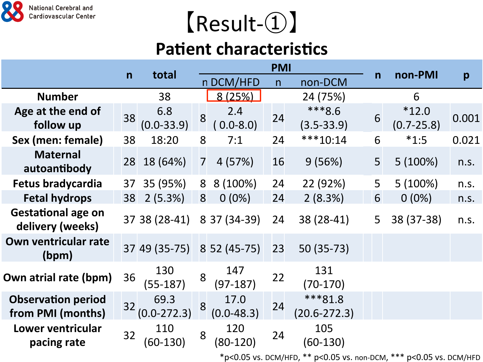

## 【Result-①】

### **Patient characteristics**

|                                                | $\mathsf{n}$ | total                      | <b>PMI</b>     |                        |    |                             |              |                           |       |
|------------------------------------------------|--------------|----------------------------|----------------|------------------------|----|-----------------------------|--------------|---------------------------|-------|
|                                                |              |                            |                | n DCM/HFD              | n  | non-DCM                     | $\mathsf{n}$ | non-PMI                   | p     |
| <b>Number</b>                                  |              | 38                         |                | 8 (25%)                |    | 24 (75%)                    |              | 6                         |       |
| Age at the end of<br>follow up                 | 38           | 6.8<br>$(0.0 - 33.9)$      | 8              | 2.4<br>$0.0 - 8.0$     | 24 | ***8.6<br>$(3.5 - 33.9)$    | 6            | $*12.0$<br>$(0.7 - 25.8)$ | 0.001 |
| Sex (men: female)                              | 38           | 18:20                      | 8              | 7:1                    | 24 | $***10:14$                  | 6            | $*1:5$                    | 0.021 |
| <b>Maternal</b><br>autoantibody                |              | 28 18 (64%)                | $\overline{7}$ | 4(57%)                 | 16 | 9(56%)                      | 5            | $5(100\%)$                | n.s.  |
| Fetus bradycardia                              | 37           | 35 (95%)                   | 8              | 8 (100%)               | 24 | 22 (92%)                    | 5            | $5(100\%)$                | n.s.  |
| <b>Fetal hydrops</b>                           | 38           | 2(5.3%)                    | 8              | $0(0\%)$               | 24 | 2(8.3%)                     | 6            | $0(0\%)$                  | n.s.  |
| <b>Gestational age on</b><br>delivery (weeks)  |              | 37 38 (28-41)              |                | 8 37 (34-39)           | 24 | 38 (28-41)                  | 5            | 38 (37-38)                | n.s.  |
| Own ventricular rate<br>(bpm)                  |              | 37 49 (35-75) 8 52 (45-75) |                |                        | 23 | 50 (35-73)                  |              |                           |       |
| Own atrial rate (bpm)                          | 36           | 130<br>$(55-187)$          | 8              | 147<br>$(97-187)$      | 22 | 131<br>$(70-170)$           |              |                           |       |
| <b>Observation period</b><br>from PMI (months) | 32           | 69.3<br>$(0.0 - 272.3)$    | 8              | 17.0<br>$(0.0 - 48.3)$ | 24 | ***81.8<br>$(20.6 - 272.3)$ |              |                           |       |
| Lower ventricular<br>pacing rate               | 32           | 110<br>(60-130)            | 8              | 120<br>$(80-120)$      | 24 | 105<br>$(60-130)$           |              |                           |       |
|                                                |              |                            |                |                        |    |                             |              |                           |       |

 $*p<0.05$  vs. DCM/HFD,  $**p<0.05$  vs. non-DCM,  $***p<0.05$  vs. DCM/HFD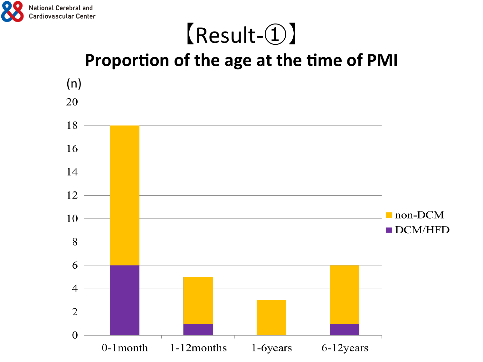

### 【Result-①】 Proportion of the age at the time of PMI

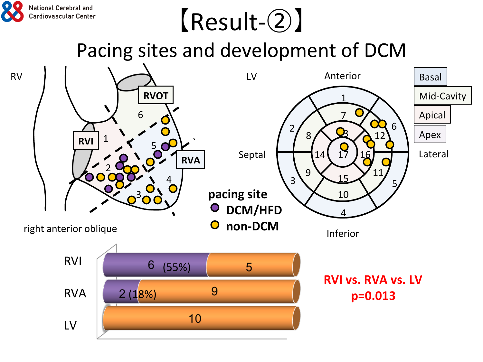## 【Result-②】

National Cerebral and Cardiovascular Center

Pacing sites and development of DCM

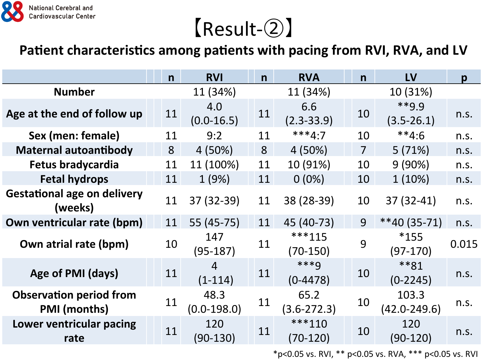

### 【Result-②】

#### Patient characteristics among patients with pacing from RVI, RVA, and LV

|                                                       | $\mathsf{n}$ | <b>RVI</b>            | $\mathsf{n}$ | <b>RVA</b>              | n              | LV                        | $\mathbf{p}$ |
|-------------------------------------------------------|--------------|-----------------------|--------------|-------------------------|----------------|---------------------------|--------------|
| <b>Number</b>                                         |              | 11 (34%)              |              | 11 (34%)                |                | 10 (31%)                  |              |
| Age at the end of follow up                           | 11           | 4.0<br>$(0.0-16.5)$   | 11           | 6.6<br>$(2.3 - 33.9)$   | 10             | $**q q$<br>$(3.5 - 26.1)$ | n.s.         |
| Sex (men: female)                                     | 11           | 9:2                   | 11           | $***4:7$                | 10             | $**4:6$                   | n.s.         |
| <b>Maternal autoantibody</b>                          | 8            | 4(50%)                | 8            | 4 (50%)                 | $\overline{7}$ | 5(71%)                    | n.s.         |
| Fetus bradycardia                                     | 11           | 11 (100%)             | 11           | 10 (91%)                | 10             | 9(90%)                    | n.s.         |
| <b>Fetal hydrops</b>                                  | 11           | 1(9%)                 | 11           | $0(0\%)$                | 10             | $1(10\%)$                 | n.s.         |
| <b>Gestational age on delivery</b><br>(weeks)         | 11           | 37 (32-39)            | 11           | 38 (28-39)              | 10             | $37(32-41)$               | n.s.         |
| Own ventricular rate (bpm)                            | 11           | 55 (45-75)            | 11           | 45 (40-73)              | 9              | $**40(35-71)$             | n.s.         |
| Own atrial rate (bpm)                                 | 10           | 147<br>$(95-187)$     | 11           | ***115<br>$(70-150)$    | 9              | $*155$<br>$(97-170)$      | 0.015        |
| Age of PMI (days)                                     | 11           | 4<br>$(1-114)$        | 11           | $***9$<br>$(0-4478)$    | 10             | $**81$<br>$(0-2245)$      | n.s.         |
| <b>Observation period from</b><br><b>PMI</b> (months) | 11           | 48.3<br>$(0.0-198.0)$ | 11           | 65.2<br>$(3.6 - 272.3)$ | 10             | 103.3<br>$(42.0 - 249.6)$ | n.s.         |
| Lower ventricular pacing<br>rate                      | 11           | 120<br>$(90-130)$     | 11           | $***110$<br>(70-120)    | 10             | 120<br>$(90-120)$         | n.s.         |

\*p<0.05 vs. RVI, \*\* p<0.05 vs. RVA, \*\*\* p<0.05 vs. RVI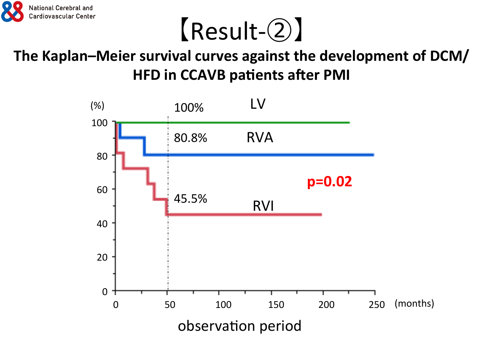



### The Kaplan-Meier survival curves against the development of DCM/ **HFD in CCAVB patients after PMI**

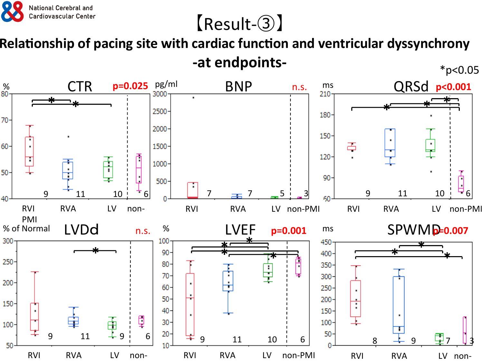

### 【Result-③】

**Relationship of pacing site with cardiac function and ventricular dyssynchrony -at endpoints-** \*p<0.05

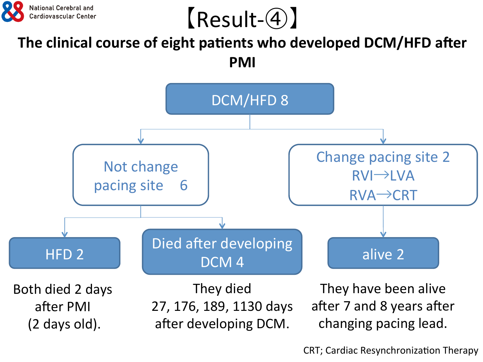

【Result-④】

#### The clinical course of eight patients who developed DCM/HFD after **PMI**



CRT; Cardiac Resynchronization Therapy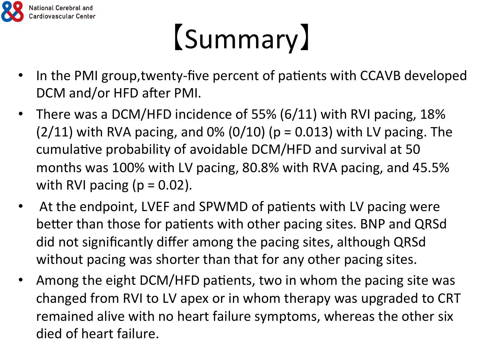

# 【Summary】

- In the PMI group, twenty-five percent of patients with CCAVB developed DCM and/or HFD after PMI.
- There was a DCM/HFD incidence of 55% (6/11) with RVI pacing, 18%  $(2/11)$  with RVA pacing, and 0%  $(0/10)$  (p = 0.013) with LV pacing. The cumulative probability of avoidable DCM/HFD and survival at 50 months was 100% with LV pacing, 80.8% with RVA pacing, and 45.5% with RVI pacing  $(p = 0.02)$ .
- At the endpoint, LVEF and SPWMD of patients with LV pacing were better than those for patients with other pacing sites. BNP and QRSd did not significantly differ among the pacing sites, although QRSd without pacing was shorter than that for any other pacing sites.
- Among the eight DCM/HFD patients, two in whom the pacing site was changed from RVI to LV apex or in whom therapy was upgraded to CRT remained alive with no heart failure symptoms, whereas the other six died of heart failure.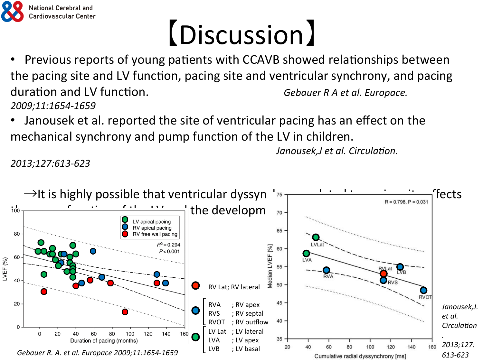

# 【Discussion】

- Previous reports of young patients with CCAVB showed relationships between the pacing site and LV function, pacing site and ventricular synchrony, and pacing duration and LV function.  $\qquad \qquad$  Gebauer R A et al. Europace. *2009;11:1654-1659*
- Janousek et al. reported the site of ventricular pacing has an effect on the mechanical synchrony and pump function of the LV in children.

*Janousek,J* et al. Circulation.

*2013;127:613-623*

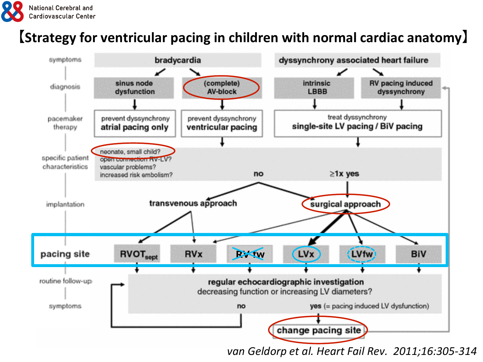

#### **【Strategy for ventricular pacing in children with normal cardiac anatomy】**



van Geldorp et al. Heart Fail Rev. 2011;16:305-314